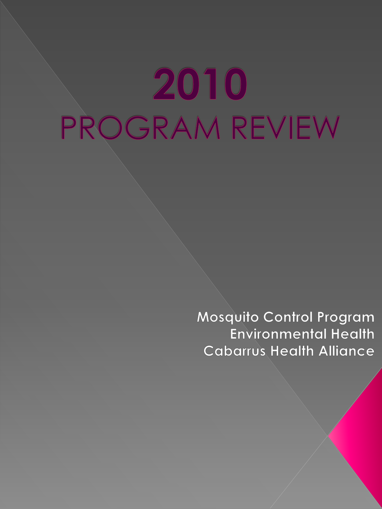# 2010 PROGRAM REVIEW

Mosquito Control Program **Environmental Health Cabarrus Health Alliance**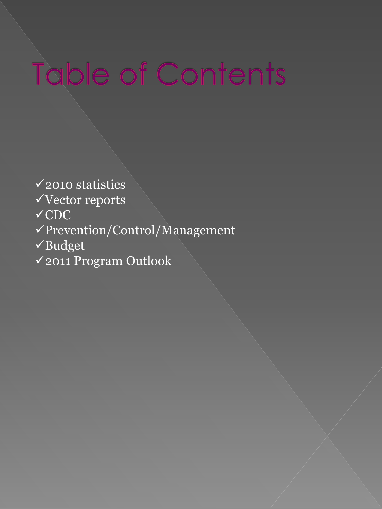## Table of Contents

2010 statistics

Vector reports

 $\times$ CDC

Prevention/Control/Management

Budget

2011 Program Outlook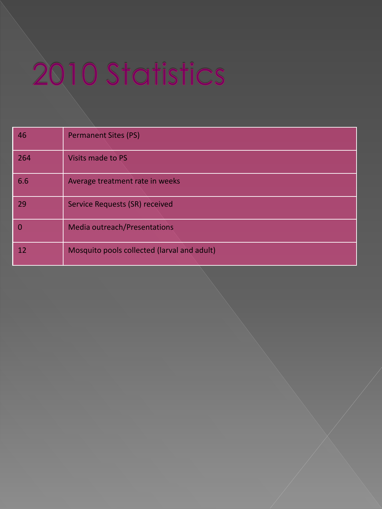# 2010 Statistics

| 46  | <b>Permanent Sites (PS)</b>                 |
|-----|---------------------------------------------|
| 264 | Visits made to PS                           |
| 6.6 | Average treatment rate in weeks             |
| 29  | <b>Service Requests (SR) received</b>       |
|     | Media outreach/Presentations                |
| 12  | Mosquito pools collected (larval and adult) |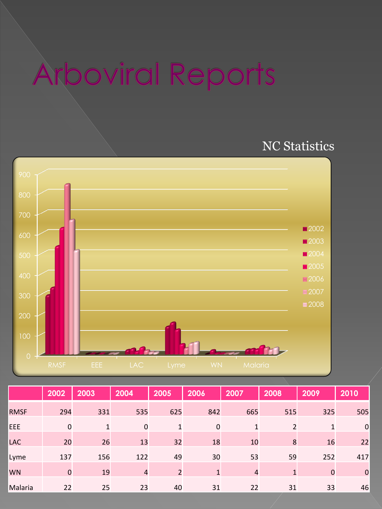## **Arboviral Reports**

## NC Statistics



|             | 2002        | 2003         | 2004           | 2005           | 2006         | 2007 | 2008           | 2009         | 2010        |
|-------------|-------------|--------------|----------------|----------------|--------------|------|----------------|--------------|-------------|
| <b>RMSF</b> | 294         | 331          | 535            | 625            | 842          | 665  | 515            | 325          | 505         |
| EEE         | $\mathbf 0$ | $\mathbf{1}$ | $\mathbf 0$    | 1              | $\mathbf 0$  | 1    | $\overline{2}$ | $\mathbf{1}$ | $\mathbf 0$ |
| <b>LAC</b>  | 20          | 26           | 13             | 32             | 18           | 10   | 8              | 16           | 22          |
| Lyme        | 137         | 156          | 122            | 49             | 30           | 53   | 59             | 252          | 417         |
| <b>WN</b>   | $\mathbf 0$ | 19           | $\overline{4}$ | $\overline{2}$ | $\mathbf{1}$ | 4    | $\mathbf{1}$   | $\mathbf 0$  | $\mathbf 0$ |
| Malaria     | 22          | 25           | 23             | 40             | 31           | 22   | 31             | 33           | 46          |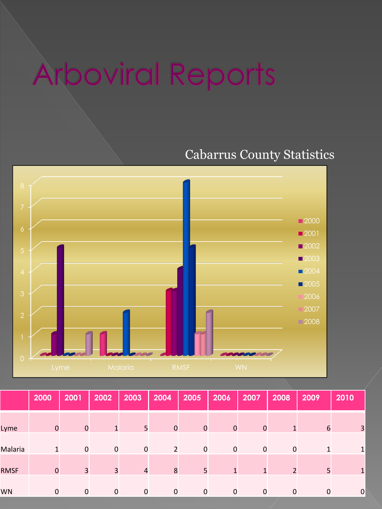## **Arboviral Reports**

## Cabarrus County Statistics



|             | 2000        | 2001        | 2002           | 2003           | 2004           | 2005         | 2006           | 2007         | 2008           | 2009            | 2010         |
|-------------|-------------|-------------|----------------|----------------|----------------|--------------|----------------|--------------|----------------|-----------------|--------------|
| Lyme        | $\mathbf 0$ | $\mathbf 0$ | 1              | 5 <sup>1</sup> | $\mathbf{0}$   | $\mathbf{0}$ | $\overline{0}$ | $\mathbf{0}$ | 1              | $6\phantom{1}6$ | 3            |
| Malaria     | 1           | $\mathbf 0$ | $\mathbf 0$    | $\mathbf 0$    | $\overline{2}$ | $\mathbf 0$  | $\mathbf 0$    | $\mathbf 0$  | $\mathbf 0$    | 1               | $\mathbf{1}$ |
| <b>RMSF</b> | $\mathbf 0$ | 3           | $\overline{3}$ | $\overline{4}$ | 8              | 5            | $\mathbf{1}$   | $\mathbf{1}$ | $\overline{2}$ | 5               | $\mathbf{1}$ |
| <b>WN</b>   | $\mathbf 0$ | $\mathbf 0$ | $\mathbf 0$    | $\mathbf 0$    | $\mathbf 0$    | $\mathbf 0$  | $\mathbf 0$    | $\mathbf 0$  | $\mathbf 0$    | $\mathbf 0$     | $\mathbf 0$  |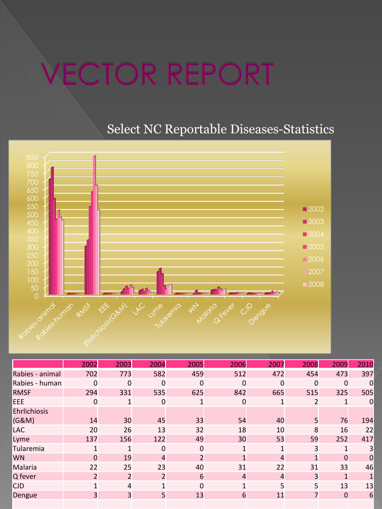## **ECTOR REPORT**

## Select NC Reportable Diseases-Statistics



|                 | 2002           | 2003           | 2004           | 2005     | 2006           | 2007           | 2008     | 2009         | 2010             |
|-----------------|----------------|----------------|----------------|----------|----------------|----------------|----------|--------------|------------------|
| Rabies - animal | 702            | 773            | 582            | 459      | 512            | 472            | 454      | 473          | 397              |
| Rabies - human  | 0              | 0              | 0              | 0        | 0              | $\mathbf 0$    | $\Omega$ | $\Omega$     | $\Omega$         |
| <b>RMSF</b>     | 294            | 331            | 535            | 625      | 842            | 665            | 515      | 325          | 505              |
| EEE             | 0              | 1              | 0              | 1        | $\mathbf 0$    | $\mathbf{1}$   | 2        | $\mathbf{1}$ | $\boldsymbol{0}$ |
| Ehrlichiosis    |                |                |                |          |                |                |          |              |                  |
| (G&M)           | 14             | 30             | 45             | 33       | 54             | 40             | 5        | 76           | 194              |
| LAC             | 20             | 26             | 13             | 32       | 18             | 10             | 8        | 16           | 22               |
| Lyme            | 137            | 156            | 122            | 49       | 30             | 53             | 59       | 252          | 417              |
| Tularemia       | 1              | 1              | 0              | 0        | 1              | $\mathbf{1}$   | 3        | $\mathbf{1}$ | 3                |
| <b>WN</b>       | 0              | 19             | 4              | 2        | $\mathbf{1}$   | $\overline{4}$ | 1        | 0            | $\overline{0}$   |
| Malaria         | 22             | 25             | 23             | 40       | 31             | 22             | 31       | 33           | 46               |
| Q fever         | $\overline{2}$ | $\overline{2}$ | $\overline{2}$ | 6        | $\overline{4}$ | $\overline{4}$ | 3        | $\mathbf{1}$ |                  |
| <b>CJD</b>      | 1              | $\overline{4}$ | 1              | $\Omega$ | $\mathbf{1}$   | 5              | 5        | 13           | 13               |
| Dengue          | 3              | 3              | 5              | 13       | 6              | 11             | 7        | $\Omega$     | 6                |
|                 |                |                |                |          |                |                |          |              |                  |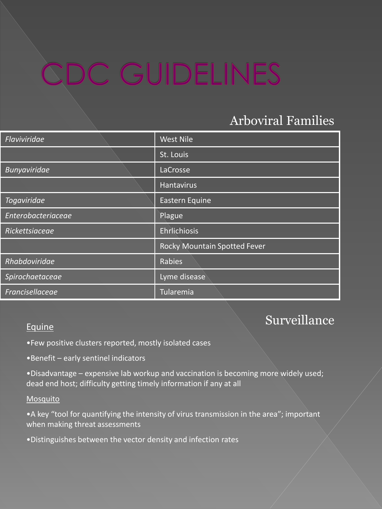## CDC GUIDELINES

## Arboviral Families

| Flaviviridae        | <b>West Nile</b>             |
|---------------------|------------------------------|
|                     | St. Louis                    |
| <b>Bunyaviridae</b> | LaCrosse                     |
|                     | <b>Hantavirus</b>            |
| Togaviridae         | Eastern Equine               |
| Enterobacteriaceae  | Plague                       |
| Rickettsiaceae      | Ehrlichiosis                 |
|                     | Rocky Mountain Spotted Fever |
| Rhabdoviridae       | Rabies                       |
| Spirochaetaceae     | Lyme disease                 |
| Francisellaceae     | Tularemia                    |

### Surveillance

#### Equine

- •Few positive clusters reported, mostly isolated cases
- •Benefit early sentinel indicators
- •Disadvantage expensive lab workup and vaccination is becoming more widely used; dead end host; difficulty getting timely information if any at all

#### Mosquito

- •A key "tool for quantifying the intensity of virus transmission in the area"; important when making threat assessments
- •Distinguishes between the vector density and infection rates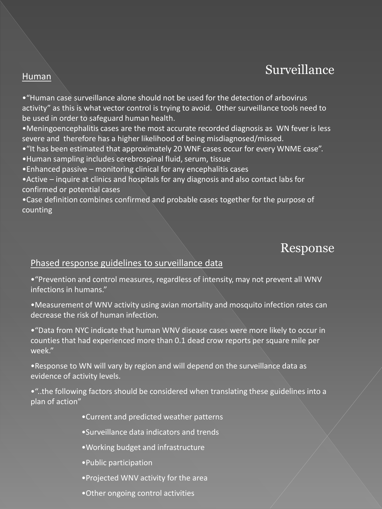### Surveillance

#### Human

•"Human case surveillance alone should not be used for the detection of arbovirus activity" as this is what vector control is trying to avoid. Other surveillance tools need to be used in order to safeguard human health.

•Meningoencephalitis cases are the most accurate recorded diagnosis as WN fever is less severe and therefore has a higher likelihood of being misdiagnosed/missed.

•"It has been estimated that approximately 20 WNF cases occur for every WNME case".

•Human sampling includes cerebrospinal fluid, serum, tissue

•Enhanced passive – monitoring clinical for any encephalitis cases

•Active – inquire at clinics and hospitals for any diagnosis and also contact labs for confirmed or potential cases

•Case definition combines confirmed and probable cases together for the purpose of counting

### Response

#### Phased response guidelines to surveillance data

•"Prevention and control measures, regardless of intensity, may not prevent all WNV infections in humans."

•Measurement of WNV activity using avian mortality and mosquito infection rates can decrease the risk of human infection.

•"Data from NYC indicate that human WNV disease cases were more likely to occur in counties that had experienced more than 0.1 dead crow reports per square mile per week."

•Response to WN will vary by region and will depend on the surveillance data as evidence of activity levels.

•"..the following factors should be considered when translating these guidelines into a plan of action"

- •Current and predicted weather patterns
- •Surveillance data indicators and trends
- •Working budget and infrastructure
- •Public participation
- •Projected WNV activity for the area
- •Other ongoing control activities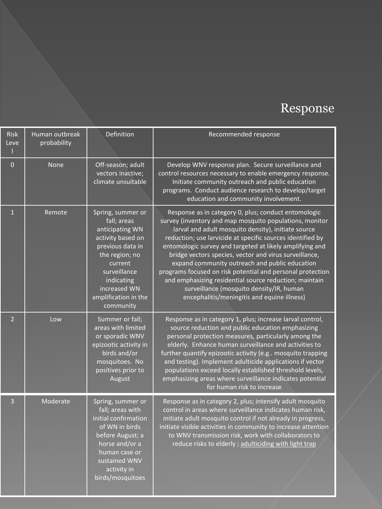## Response

| Risk<br>Leve   | Human outbreak<br>probability | Definition                                                                                                                                                                                                   | Recommended response                                                                                                                                                                                                                                                                                                                                                                                                                                                                                                                                                                                                            |
|----------------|-------------------------------|--------------------------------------------------------------------------------------------------------------------------------------------------------------------------------------------------------------|---------------------------------------------------------------------------------------------------------------------------------------------------------------------------------------------------------------------------------------------------------------------------------------------------------------------------------------------------------------------------------------------------------------------------------------------------------------------------------------------------------------------------------------------------------------------------------------------------------------------------------|
| $\overline{0}$ | <b>None</b>                   | Off-season; adult<br>vectors inactive;<br>climate unsuitable                                                                                                                                                 | Develop WNV response plan. Secure surveillance and<br>control resources necessary to enable emergency response.<br>Initiate community outreach and public education<br>programs. Conduct audience research to develop/target<br>education and community involvement.                                                                                                                                                                                                                                                                                                                                                            |
| $\mathbf{1}$   | Remote                        | Spring, summer or<br>fall; areas<br>anticipating WN<br>activity based on<br>previous data in<br>the region; no<br>current<br>surveillance<br>indicating<br>increased WN<br>amplification in the<br>community | Response as in category 0, plus; conduct entomologic<br>survey (inventory and map mosquito populations, monitor<br>larval and adult mosquito density), initiate source<br>reduction; use larvicide at specific sources identified by<br>entomologic survey and targeted at likely amplifying and<br>bridge vectors species, vector and virus surveillance,<br>expand community outreach and public education<br>programs focused on risk potential and personal protection<br>and emphasizing residential source reduction; maintain<br>surveillance (mosquito density/IR, human<br>encephalitis/meningitis and equine illness) |
| $\overline{2}$ | Low                           | Summer or fall;<br>areas with limited<br>or sporadic WNV<br>epizootic activity in<br>birds and/or<br>mosquitoes. No<br>positives prior to<br>August                                                          | Response as in category 1, plus; increase larval control,<br>source reduction and public education emphasizing<br>personal protection measures, particularly among the<br>elderly. Enhance human surveillance and activities to<br>further quantify epizootic activity (e.g mosquito trapping<br>and testing). Implement adulticide applications if vector<br>populations exceed locally established threshold levels,<br>emphasizing areas where surveillance indicates potential<br>for human risk to increase                                                                                                                |
| 3              | Moderate                      | Spring, summer or<br>fall; areas with<br>initial confirmation<br>of WN in birds<br>before August; a<br>horse and/or a<br>human case or<br>sustained WNV<br>activity in<br>birds/mosquitoes                   | Response as in category 2, plus; intensify adult mosquito<br>control in areas where surveillance indicates human risk,<br>initiate adult mosquito control if not already in progress,<br>initiate visible activities in community to increase attention<br>to WNV transmission risk, work with collaborators to<br>reduce risks to elderly ; adulticiding with light trap                                                                                                                                                                                                                                                       |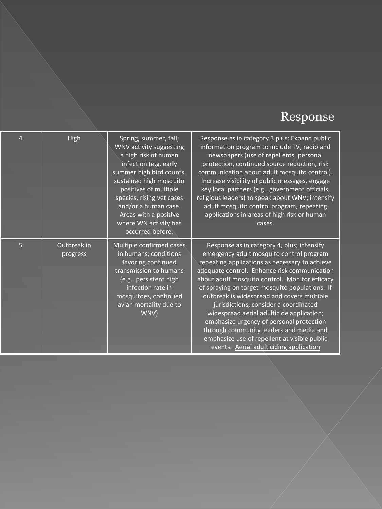## Response

| $\overline{4}$ | High                    | Spring, summer, fall;<br>WNV activity suggesting<br>a high risk of human<br>infection (e.g. early<br>summer high bird counts,<br>sustained high mosquito<br>positives of multiple<br>species, rising vet cases<br>and/or a human case.<br>Areas with a positive<br>where WN activity has<br>occurred before. | Response as in category 3 plus: Expand public<br>information program to include TV, radio and<br>newspapers (use of repellents, personal<br>protection, continued source reduction, risk<br>communication about adult mosquito control).<br>Increase visibility of public messages, engage<br>key local partners (e.g government officials,<br>religious leaders) to speak about WNV; intensify<br>adult mosquito control program, repeating<br>applications in areas of high risk or human<br>cases.                                                                                                              |
|----------------|-------------------------|--------------------------------------------------------------------------------------------------------------------------------------------------------------------------------------------------------------------------------------------------------------------------------------------------------------|--------------------------------------------------------------------------------------------------------------------------------------------------------------------------------------------------------------------------------------------------------------------------------------------------------------------------------------------------------------------------------------------------------------------------------------------------------------------------------------------------------------------------------------------------------------------------------------------------------------------|
| $\overline{5}$ | Outbreak in<br>progress | Multiple confirmed cases<br>in humans; conditions<br>favoring continued<br>transmission to humans<br>(e.g persistent high<br>infection rate in<br>mosquitoes, continued<br>avian mortality due to<br>WNV)                                                                                                    | Response as in category 4, plus; intensify<br>emergency adult mosquito control program<br>repeating applications as necessary to achieve<br>adequate control. Enhance risk communication<br>about adult mosquito control. Monitor efficacy<br>of spraying on target mosquito populations. If<br>outbreak is widespread and covers multiple<br>jurisdictions, consider a coordinated<br>widespread aerial adulticide application;<br>emphasize urgency of personal protection<br>through community leaders and media and<br>emphasize use of repellent at visible public<br>events. Aerial adulticiding application |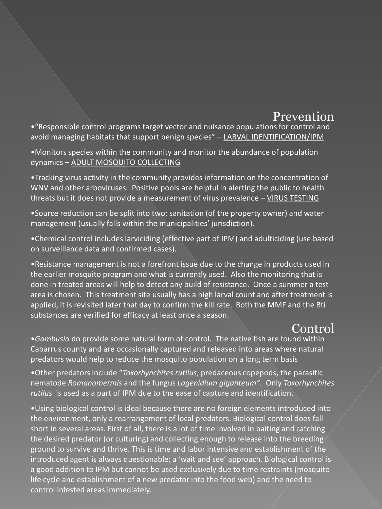#### Prevention

•"Responsible control programs target vector and nuisance populations for control and avoid managing habitats that support benign species" – LARVAL IDENTIFICATION/IPM

•Monitors species within the community and monitor the abundance of population dynamics – ADULT MOSQUITO COLLECTING

•Tracking virus activity in the community provides information on the concentration of WNV and other arboviruses. Positive pools are helpful in alerting the public to health threats but it does not provide a measurement of virus prevalence – VIRUS TESTING

•Source reduction can be split into two; sanitation (of the property owner) and water management (usually falls within the municipalities' jurisdiction).

•Chemical control includes larviciding (effective part of IPM) and adulticiding (use based on surveillance data and confirmed cases).

•Resistance management is not a forefront issue due to the change in products used in the earlier mosquito program and what is currently used. Also the monitoring that is done in treated areas will help to detect any build of resistance. Once a summer a test area is chosen. This treatment site usually has a high larval count and after treatment is applied, it is revisited later that day to confirm the kill rate. Both the MMF and the Bti substances are verified for efficacy at least once a season.

### Control

•*Gambusia* do provide some natural form of control. The native fish are found within Cabarrus county and are occasionally captured and released into areas where natural predators would help to reduce the mosquito population on a long term basis

•Other predators include "*Toxorhynchites rutilus*, predaceous copepods, the parasitic nematode *Romanomermis* and the fungus *Lagenidium giganteum"*. Only *Toxorhynchites rutilus* is used as a part of IPM due to the ease of capture and identification.

•Using biological control is ideal because there are no foreign elements introduced into the environment, only a rearrangement of local predators. Biological control does fall short in several areas. First of all, there is a lot of time involved in baiting and catching the desired predator (or culturing) and collecting enough to release into the breeding ground to survive and thrive. This is time and labor intensive and establishment of the introduced agent is always questionable; a 'wait and see' approach. Biological control is a good addition to IPM but cannot be used exclusively due to time restraints (mosquito life cycle and establishment of a new predator into the food web) and the need to control infested areas immediately.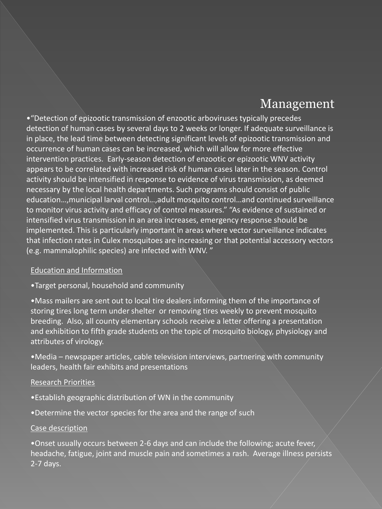### Management

•"Detection of epizootic transmission of enzootic arboviruses typically precedes detection of human cases by several days to 2 weeks or longer. If adequate surveillance is in place, the lead time between detecting significant levels of epizootic transmission and occurrence of human cases can be increased, which will allow for more effective intervention practices. Early-season detection of enzootic or epizootic WNV activity appears to be correlated with increased risk of human cases later in the season. Control activity should be intensified in response to evidence of virus transmission, as deemed necessary by the local health departments. Such programs should consist of public education…,municipal larval control…,adult mosquito control…and continued surveillance to monitor virus activity and efficacy of control measures." "As evidence of sustained or intensified virus transmission in an area increases, emergency response should be implemented. This is particularly important in areas where vector surveillance indicates that infection rates in Culex mosquitoes are increasing or that potential accessory vectors (e.g. mammalophilic species) are infected with WNV. "

#### Education and Information

#### •Target personal, household and community

•Mass mailers are sent out to local tire dealers informing them of the importance of storing tires long term under shelter or removing tires weekly to prevent mosquito breeding. Also, all county elementary schools receive a letter offering a presentation and exhibition to fifth grade students on the topic of mosquito biology, physiology and attributes of virology.

•Media – newspaper articles, cable television interviews, partnering with community leaders, health fair exhibits and presentations

#### Research Priorities

- •Establish geographic distribution of WN in the community
- •Determine the vector species for the area and the range of such

#### Case description

•Onset usually occurs between 2-6 days and can include the following; acute fever, headache, fatigue, joint and muscle pain and sometimes a rash. Average illness persists 2-7 days.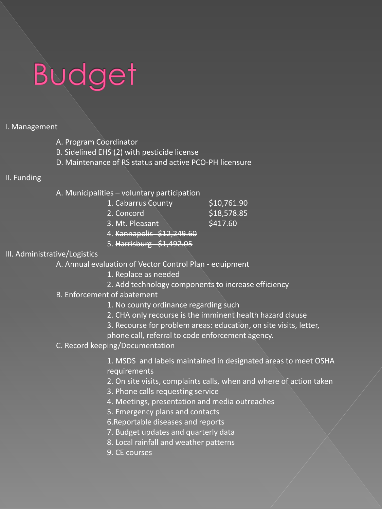# **Budget**

#### I. Management

- A. Program Coordinator
- B. Sidelined EHS (2) with pesticide license
- D. Maintenance of RS status and active PCO-PH licensure

#### II. Funding

A. Municipalities – voluntary participation

| 1. Cabarrus County        | \$10,761.90 |
|---------------------------|-------------|
| 2. Concord                | \$18,578.85 |
| 3. Mt. Pleasant           | \$417.60    |
| 4. Kannapolis \$12,249.60 |             |

5. Harrisburg \$1,492.05

#### III. Administrative/Logistics

A. Annual evaluation of Vector Control Plan - equipment

- 1. Replace as needed
- 2. Add technology components to increase efficiency
- B. Enforcement of abatement
	- 1. No county ordinance regarding such
	- 2. CHA only recourse is the imminent health hazard clause
	- 3. Recourse for problem areas: education, on site visits, letter,

phone call, referral to code enforcement agency.

C. Record keeping/Documentation

1. MSDS and labels maintained in designated areas to meet OSHA requirements

- 2. On site visits, complaints calls, when and where of action taken
- 3. Phone calls requesting service
- 4. Meetings, presentation and media outreaches
- 5. Emergency plans and contacts
- 6.Reportable diseases and reports
- 7. Budget updates and quarterly data
- 8. Local rainfall and weather patterns
- 9. CE courses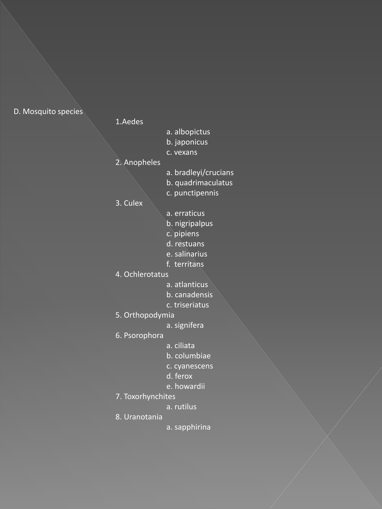#### D. Mosquito species

#### 1.Aedes

- a. albopictus
- b. japonicus
- c. vexans

#### 2. Anopheles

- a. bradleyi/crucians
- b. quadrimaculatus
- c. punctipennis

#### 3. Culex

- a. erraticus
- b. nigripalpus
- c. pipiens
- d. restuans
- e. salinarius
- f. territans
- 4. Ochlerotatus
	- a. atlanticus
	- b. canadensis
	- c. triseriatus
- 5. Orthopodymia
	- a. signifera
- 6. Psorophora
- a. ciliata
- b. columbiae
- c. cyanescens
- d. ferox
- e. howardii
- 7. Toxorhynchites
	- a. rutilus
- 8. Uranotania
- a. sapphirina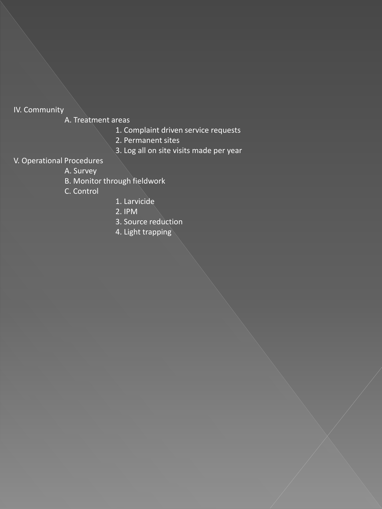#### IV. Community

A. Treatment areas

- 1. Complaint driven service requests
- 2. Permanent sites
- 3. Log all on site visits made per year

#### V. Operational Procedures

- A. Survey
- B. Monitor through fieldwork
- C. Control
- 1. Larvicide
- 2. IPM
- 3. Source reduction
- 4. Light trapping